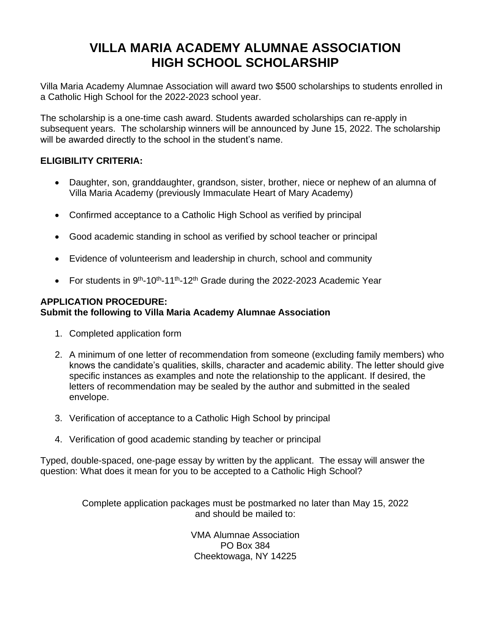## **VILLA MARIA ACADEMY ALUMNAE ASSOCIATION HIGH SCHOOL SCHOLARSHIP**

Villa Maria Academy Alumnae Association will award two \$500 scholarships to students enrolled in a Catholic High School for the 2022-2023 school year.

The scholarship is a one-time cash award. Students awarded scholarships can re-apply in subsequent years. The scholarship winners will be announced by June 15, 2022. The scholarship will be awarded directly to the school in the student's name.

### **ELIGIBILITY CRITERIA:**

- Daughter, son, granddaughter, grandson, sister, brother, niece or nephew of an alumna of Villa Maria Academy (previously Immaculate Heart of Mary Academy)
- Confirmed acceptance to a Catholic High School as verified by principal
- Good academic standing in school as verified by school teacher or principal
- Evidence of volunteerism and leadership in church, school and community
- For students in 9<sup>th</sup>-10<sup>th</sup>-11<sup>th</sup>-12<sup>th</sup> Grade during the 2022-2023 Academic Year

#### **APPLICATION PROCEDURE: Submit the following to Villa Maria Academy Alumnae Association**

- 1. Completed application form
- 2. A minimum of one letter of recommendation from someone (excluding family members) who knows the candidate's qualities, skills, character and academic ability. The letter should give specific instances as examples and note the relationship to the applicant. If desired, the letters of recommendation may be sealed by the author and submitted in the sealed envelope.
- 3. Verification of acceptance to a Catholic High School by principal
- 4. Verification of good academic standing by teacher or principal

Typed, double-spaced, one-page essay by written by the applicant. The essay will answer the question: What does it mean for you to be accepted to a Catholic High School?

> Complete application packages must be postmarked no later than May 15, 2022 and should be mailed to:

> > VMA Alumnae Association PO Box 384 Cheektowaga, NY 14225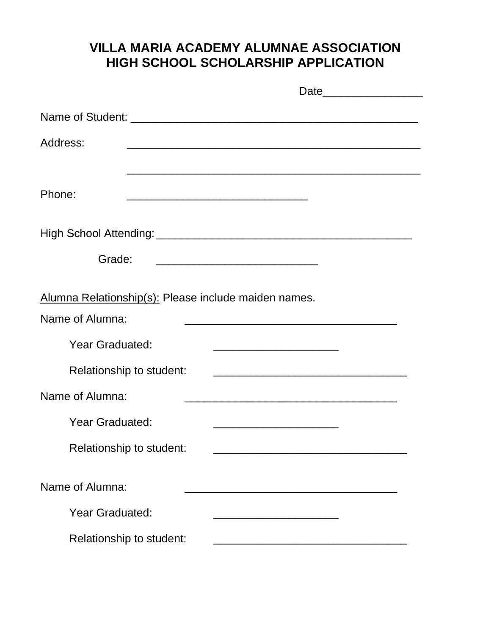# **VILLA MARIA ACADEMY ALUMNAE ASSOCIATION HIGH SCHOOL SCHOLARSHIP APPLICATION**

| Address:                                             | <u> 2000 - Jan James James James James James James James James James James James James James James James James J</u>          |
|------------------------------------------------------|-------------------------------------------------------------------------------------------------------------------------------|
|                                                      |                                                                                                                               |
| Phone:                                               |                                                                                                                               |
|                                                      |                                                                                                                               |
|                                                      |                                                                                                                               |
| Grade:                                               |                                                                                                                               |
| Alumna Relationship(s): Please include maiden names. |                                                                                                                               |
| Name of Alumna:                                      |                                                                                                                               |
| <b>Year Graduated:</b>                               |                                                                                                                               |
| Relationship to student:                             | <u> 1989 - Johann John Stone, mars et al. 1989 - John Stone, mars et al. 1989 - John Stone, mars et al. 1989 - John Stone</u> |
| Name of Alumna:                                      | <u> 1989 - Johann John Stone, mars et al. 1989 - John Stone, mars et al. 1989 - John Stone, mars et al. 1989 - Joh</u>        |
| <b>Year Graduated:</b>                               |                                                                                                                               |
| Relationship to student:                             |                                                                                                                               |
| Name of Alumna:                                      |                                                                                                                               |
|                                                      |                                                                                                                               |
| <b>Year Graduated:</b>                               |                                                                                                                               |
| Relationship to student:                             |                                                                                                                               |